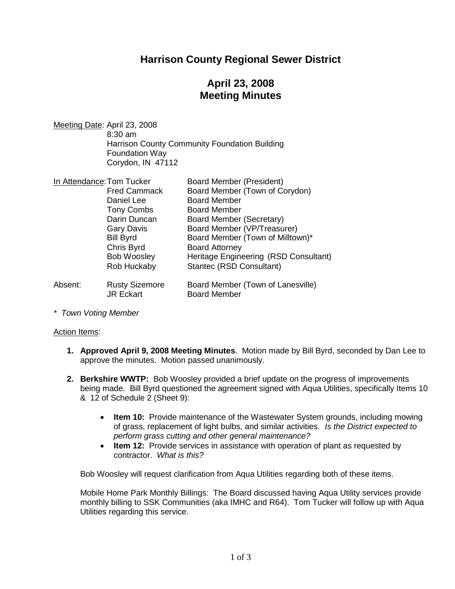# **Harrison County Regional Sewer District**

# **April 23, 2008 Meeting Minutes**

Meeting Date: April 23, 2008 8:30 am Harrison County Community Foundation Building Foundation Way Corydon, IN 47112

| In Attendance: Tom Tucker |                                           | <b>Board Member (President)</b>                          |
|---------------------------|-------------------------------------------|----------------------------------------------------------|
|                           | <b>Fred Cammack</b>                       | Board Member (Town of Corydon)                           |
|                           | Daniel Lee                                | <b>Board Member</b>                                      |
|                           | <b>Tony Combs</b>                         | <b>Board Member</b>                                      |
|                           | Darin Duncan                              | <b>Board Member (Secretary)</b>                          |
|                           | <b>Gary Davis</b>                         | Board Member (VP/Treasurer)                              |
|                           | <b>Bill Byrd</b>                          | Board Member (Town of Milltown)*                         |
|                           | Chris Byrd                                | <b>Board Attorney</b>                                    |
|                           | <b>Bob Woosley</b>                        | Heritage Engineering (RSD Consultant)                    |
|                           | Rob Huckaby                               | Stantec (RSD Consultant)                                 |
| Absent:                   | <b>Rusty Sizemore</b><br><b>JR Eckart</b> | Board Member (Town of Lanesville)<br><b>Board Member</b> |

*\* Town Voting Member*

#### Action Items:

- **1. Approved April 9, 2008 Meeting Minutes**. Motion made by Bill Byrd, seconded by Dan Lee to approve the minutes. Motion passed unanimously.
- **2. Berkshire WWTP:** Bob Woosley provided a brief update on the progress of improvements being made. Bill Byrd questioned the agreement signed with Aqua Utilities, specifically Items 10 & 12 of Schedule 2 (Sheet 9):
	- **Item 10:** Provide maintenance of the Wastewater System grounds, including mowing of grass, replacement of light bulbs, and similar activities. *Is the District expected to perform grass cutting and other general maintenance?*
	- **Item 12:** Provide services in assistance with operation of plant as requested by contractor. *What is this?*

Bob Woosley will request clarification from Aqua Utilities regarding both of these items.

Mobile Home Park Monthly Billings: The Board discussed having Aqua Utility services provide monthly billing to SSK Communities (aka IMHC and R64). Tom Tucker will follow up with Aqua Utilities regarding this service.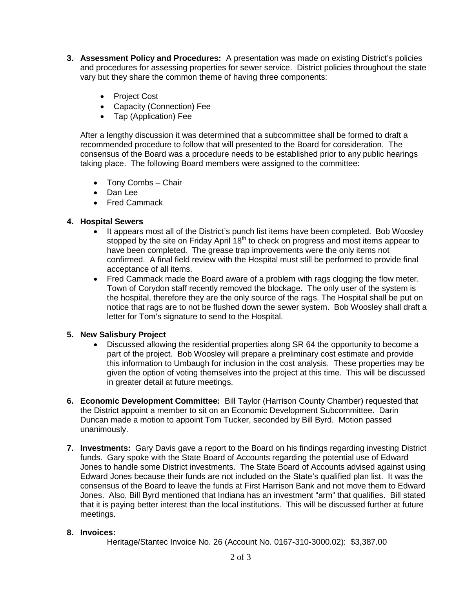- **3. Assessment Policy and Procedures:** A presentation was made on existing District's policies and procedures for assessing properties for sewer service. District policies throughout the state vary but they share the common theme of having three components:
	- Project Cost
	- Capacity (Connection) Fee
	- Tap (Application) Fee

After a lengthy discussion it was determined that a subcommittee shall be formed to draft a recommended procedure to follow that will presented to the Board for consideration. The consensus of the Board was a procedure needs to be established prior to any public hearings taking place. The following Board members were assigned to the committee:

- Tony Combs Chair
- Dan Lee
- Fred Cammack

### **4. Hospital Sewers**

- It appears most all of the District's punch list items have been completed. Bob Woosley stopped by the site on Friday April  $18<sup>th</sup>$  to check on progress and most items appear to have been completed. The grease trap improvements were the only items not confirmed. A final field review with the Hospital must still be performed to provide final acceptance of all items.
- Fred Cammack made the Board aware of a problem with rags clogging the flow meter. Town of Corydon staff recently removed the blockage. The only user of the system is the hospital, therefore they are the only source of the rags. The Hospital shall be put on notice that rags are to not be flushed down the sewer system. Bob Woosley shall draft a letter for Tom's signature to send to the Hospital.

### **5. New Salisbury Project**

- Discussed allowing the residential properties along SR 64 the opportunity to become a part of the project. Bob Woosley will prepare a preliminary cost estimate and provide this information to Umbaugh for inclusion in the cost analysis. These properties may be given the option of voting themselves into the project at this time. This will be discussed in greater detail at future meetings.
- **6. Economic Development Committee:** Bill Taylor (Harrison County Chamber) requested that the District appoint a member to sit on an Economic Development Subcommittee. Darin Duncan made a motion to appoint Tom Tucker, seconded by Bill Byrd. Motion passed unanimously.
- **7. Investments:** Gary Davis gave a report to the Board on his findings regarding investing District funds. Gary spoke with the State Board of Accounts regarding the potential use of Edward Jones to handle some District investments. The State Board of Accounts advised against using Edward Jones because their funds are not included on the State's qualified plan list. It was the consensus of the Board to leave the funds at First Harrison Bank and not move them to Edward Jones. Also, Bill Byrd mentioned that Indiana has an investment "arm" that qualifies. Bill stated that it is paying better interest than the local institutions. This will be discussed further at future meetings.

### **8. Invoices:**

Heritage/Stantec Invoice No. 26 (Account No. 0167-310-3000.02): \$3,387.00